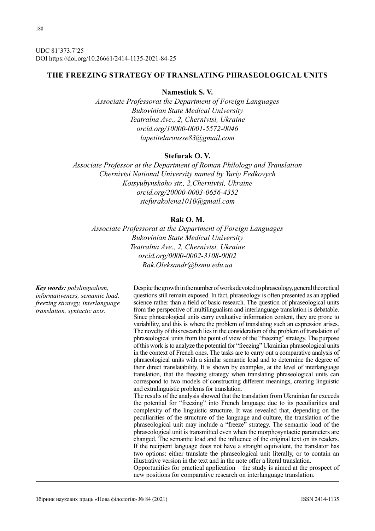UDC 81'373.7'25 DOI https://doi.org/10.26661/2414-1135-2021-84-25

# **THE FREEZING STRATEGY OF TRANSLATING PHRASEOLOGICAL UNITS**

## **Namestiuk S. V.**

*Associate Professorat the Department of Foreign Languages Bukovinian State Medical University Teatralna Ave., 2, Chernivtsi, Ukraine orcid.org/10000-0001-5572-0046 lapetitelarousse83@gmail.com*

## **Stefurak O. V.**

*Associate Professor at the Department of Roman Philology and Translation Chernivtsi National University named by Yuriy Fedkovych Kotsyubynskoho str., 2,Chernivtsi, Ukraine orcid.org/20000-0003-0656-4352 stefurakolena1010@gmail.com*

# **Rak O. M.**

*Associate Professorat at the Department of Foreign Languages Bukovinian State Medical University Teatralna Ave., 2, Chernivtsi, Ukraine orcid.org/0000-0002-3108-0002 Rak.Oleksandr@bsmu.edu.ua*

*Key words: polylingualism, informativeness, semantic load, freezing strategy, interlanguage translation, syntactic axis.*

Despite the growth in the number of works devoted to phraseology, general theoretical questions still remain exposed. In fact, phraseology is often presented as an applied science rather than a field of basic research. The question of phraseological units from the perspective of multilingualism and interlanguage translation is debatable. Since phraseological units carry evaluative information content, they are prone to variability, and this is where the problem of translating such an expression arises. The novelty of this research lies in the consideration of the problem of translation of phraseological units from the point of view of the "freezing" strategy. The purpose of this work is to analyze the potential for "freezing" Ukrainian phraseological units in the context of French ones. The tasks are to carry out a comparative analysis of phraseological units with a similar semantic load and to determine the degree of their direct translatability. It is shown by examples, at the level of interlanguage translation, that the freezing strategy when translating phraseological units can correspond to two models of constructing different meanings, creating linguistic and extralinguistic problems for translation.

The results of the analysis showed that the translation from Ukrainian far exceeds the potential for "freezing" into French language due to its peculiarities and complexity of the linguistic structure. It was revealed that, depending on the peculiarities of the structure of the language and culture, the translation of the phraseological unit may include a "freeze" strategy. The semantic load of the phraseological unit is transmitted even when the morphosyntactic parameters are changed. The semantic load and the influence of the original text on its readers. If the recipient language does not have a straight equivalent, the translator has two options: either translate the phraseological unit literally, or to contain an illustrative version in the text and in the note offer a literal translation.

Opportunities for practical application – the study is aimed at the prospect of new positions for comparative research on interlanguage translation.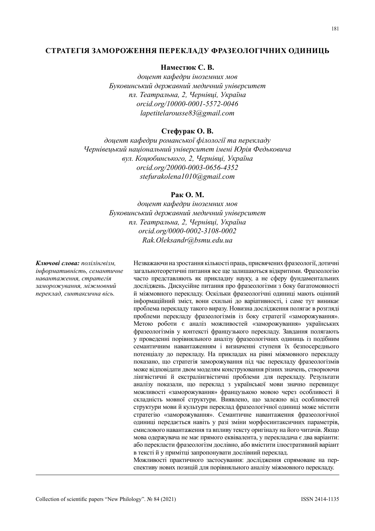### **СТРАТЕГІЯ ЗАМОРОЖЕННЯ ПЕРЕКЛАДУ ФРАЗЕОЛОГІЧНИХ ОДИНИЦЬ**

### **Наместюк С. В.**

*доцент кафедри іноземних мов Буковинський державний медичний університет пл. Театральна, 2, Чернівці, Україна orcid.org/10000-0001-5572-0046 lapetitelarousse83@gmail.com*

## **Стефурак О. В.**

*доцент кафедри романської філології та перекладу Чернівецький національний університет імені Юрія Федьковича вул. Коцюбинського, 2, Чернівці, Україна orcid.org/20000-0003-0656-4352 stefurakolena1010@gmail.com*

## **Рак О. М.**

*доцент кафедри іноземних мов Буковинський державний медичний університет пл. Театральна, 2, Чернівці, Україна orcid.org/0000-0002-3108-0002 Rak.Oleksandr@bsmu.edu.ua*

*Ключові слова: полілінгвізм, інформативність, семантичне навантаження, стратегія заморожування, міжмовний переклад, синтаксична вісь.*

Незважаючи на зростання кількості праць, присвячених фразеології, дотичні загальнотеоретичні питання все ще залишаються відкритими. Фразеологію часто представляють як прикладну науку, а не сферу фундаментальних досліджень. Дискусійне питання про фразеологізми з боку багатомовності й міжмовного перекладу. Оскільки фразеологічні одиниці мають оцінний інформаційний зміст, вони схильні до варіативності, і саме тут виникає проблема перекладу такого виразу. Новизна дослідження полягає в розгляді проблеми перекладу фразеологізмів із боку стратегії «заморожування». Метою роботи є аналіз можливостей «заморожування» українських фразеологізмів у контексті французького перекладу. Завдання полягають у проведенні порівняльного аналізу фразеологічних одиниць із подібним семантичним навантаженням і визначенні ступеня їх безпосереднього потенціалу до перекладу. На прикладах на рівні міжмовного перекладу показано, що стратегія заморожування під час перекладу фразеологізмів може відповідати двом моделям конструювання різних значень, створюючи лінгвістичні й екстралінгвістичні проблеми для перекладу. Результати аналізу показали, що переклад з української мови значно перевищує можливості «заморожування» французькою мовою через особливості й складність мовної структури. Виявлено, що залежно від особливостей структури мови й культури переклад фразеологічної одиниці може містити стратегію «заморожування». Семантичне навантаження фразеологічної одиниці передається навіть у разі зміни морфосинтаксичних параметрів, смислового навантаження та впливу тексту оригіналу на його читачів. Якщо мова одержувача не має прямого еквівалента, у перекладача є два варіанти: або перекласти фразеологізм дослівно, або вмістити ілюстративний варіант в тексті й у примітці запропонувати дослівний переклад.

Можливості практичного застосування: дослідження спрямоване на перспективу нових позицій для порівняльного аналізу міжмовного перекладу.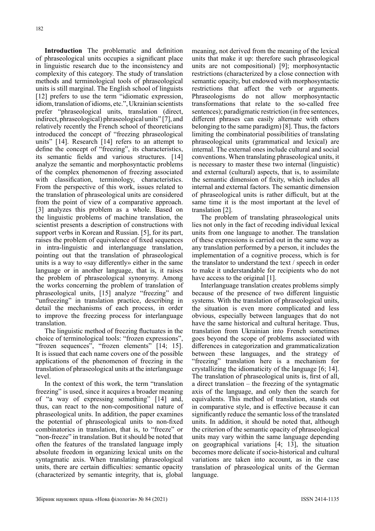**Introduction** The problematic and definition of phraseological units occupies a significant place in linguistic research due to the inconsistency and complexity of this category. The study of translation methods and terminological tools of phraseological units is still marginal. The English school of linguists [12] prefers to use the term "idiomatic expression, idiom, translation of idioms, etc.", Ukrainian scientists prefer "phraseological units, translation (direct, indirect, phraseological) phraseological units" [7], and relatively recently the French school of theoreticians introduced the concept of "freezing phraseological units" [14]. Research [14] refers to an attempt to define the concept of "freezing", its characteristics, its semantic fields and various structures. [14] analyze the semantic and morphosyntactic problems of the complex phenomenon of freezing associated with classification, terminology, characteristics. From the perspective of this work, issues related to the translation of phraseological units are considered from the point of view of a comparative approach. [3] analyzes this problem as a whole. Based on the linguistic problems of machine translation, the scientist presents a description of constructions with support verbs in Korean and Russian. [5], for its part, raises the problem of equivalence of fixed sequences in intra-linguistic and interlanguage translation, pointing out that the translation of phraseological units is a way to «say differently» either in the same language or in another language, that is, it raises the problem of phraseological synonymy. Among the works concerning the problem of translation of phraseological units, [15] analyze "freezing" and "unfreezing" in translation practice, describing in detail the mechanisms of each process, in order to improve the freezing process for interlanguage translation.

The linguistic method of freezing fluctuates in the choice of terminological tools: "frozen expressions", "frozen sequences", "frozen elements" [14; 15]. It is issued that each name covers one of the possible applications of the phenomenon of freezing in the translation of phraseological units at the interlanguage level.

In the context of this work, the term "translation freezing" is used, since it acquires a broader meaning of "a way of expressing something" [14] and, thus, can react to the non-compositional nature of phraseological units. In addition, the paper examines the potential of phraseological units to non-fixed combinatorics in translation, that is, to "freeze" or "non-freeze" in translation. But it should be noted that often the features of the translated language imply absolute freedom in organizing lexical units on the syntagmatic axis. When translating phraseological units, there are certain difficulties: semantic opacity (characterized by semantic integrity, that is, global meaning, not derived from the meaning of the lexical units that make it up: therefore such phraseological units are not compositional) [9]; morphosyntactic restrictions (characterized by a close connection with semantic opacity, but endowed with morphosyntactic restrictions that affect the verb or arguments. Phraseologisms do not allow morphosyntactic transformations that relate to the so-called free sentences); paradigmatic restriction (in free sentences, different phrases can easily alternate with others belonging to the same paradigm) [8]. Thus, the factors limiting the combinatorial possibilities of translating phraseological units (grammatical and lexical) are internal. The external ones include cultural and social conventions. When translating phraseological units, it is necessary to master these two internal (linguistic) and external (cultural) aspects, that is, to assimilate the semantic dimension of fixity, which includes all internal and external factors. The semantic dimension of phraseological units is rather difficult, but at the same time it is the most important at the level of translation [2].

The problem of translating phraseological units lies not only in the fact of recoding individual lexical units from one language to another. The translation of these expressions is carried out in the same way as any translation performed by a person, it includes the implementation of a cognitive process, which is for the translator to understand the text / speech in order to make it understandable for recipients who do not have access to the original [1].

Interlanguage translation creates problems simply because of the presence of two different linguistic systems. With the translation of phraseological units, the situation is even more complicated and less obvious, especially between languages that do not have the same historical and cultural heritage. Thus, translation from Ukrainian into French sometimes goes beyond the scope of problems associated with differences in categorization and grammaticalization between these languages, and the strategy of "freezing" translation here is a mechanism for crystallizing the idiomaticity of the language [6; 14]. The translation of phraseological units is, first of all, a direct translation – the freezing of the syntagmatic axis of the language, and only then the search for equivalents. This method of translation, stands out in comparative style, and is effective because it can significantly reduce the semantic loss of the translated units. In addition, it should be noted that, although the criterion of the semantic opacity of phraseological units may vary within the same language depending on geographical variations [4; 13], the situation becomes more delicate if socio-historical and cultural variations are taken into account, as in the case translation of phraseological units of the German language.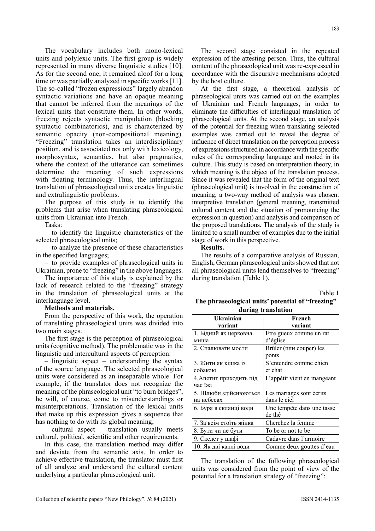The vocabulary includes both mono-lexical units and polylexic units. The first group is widely represented in many diverse linguistic studies [10]. As for the second one, it remained aloof for a long time or was partially analyzed in specific works [11]. The so-called "frozen expressions" largely abandon syntactic variations and have an opaque meaning that cannot be inferred from the meanings of the lexical units that constitute them. In other words, freezing rejects syntactic manipulation (blocking syntactic combinatorics), and is characterized by semantic opacity (non-compositional meaning). "Freezing" translation takes an interdisciplinary position, and is associated not only with lexicology, morphosyntax, semantics, but also pragmatics, where the context of the utterance can sometimes determine the meaning of such expressions with floating terminology. Thus, the interlingual translation of phraseological units creates linguistic and extralinguistic problems.

The purpose of this study is to identify the problems that arise when translating phraseological units from Ukrainian into French.

Tasks:

– to identify the linguistic characteristics of the selected phraseological units;

– to analyze the presence of these characteristics in the specified languages;

– to provide examples of phraseological units in Ukrainian, prone to "freezing" in the above languages.

The importance of this study is explained by the lack of research related to the "freezing" strategy in the translation of phraseological units at the interlanguage level.

#### **Methods and materials.**

From the perspective of this work, the operation of translating phraseological units was divided into two main stages.

The first stage is the perception of phraseological units (cognitive method). The problematic was in the linguistic and intercultural aspects of perception:

– linguistic aspect – understanding the syntax of the source language. The selected phraseological units were considered as an inseparable whole. For example, if the translator does not recognize the meaning of the phraseological unit "to burn bridges", he will, of course, come to misunderstandings or misinterpretations. Translation of the lexical units that make up this expression gives a sequence that has nothing to do with its global meaning;

– cultural aspect – translation usually meets cultural, political, scientific and other requirements.

In this case, the translation method may differ and deviate from the semantic axis. In order to achieve effective translation, the translator must first of all analyze and understand the cultural content underlying a particular phraseological unit.

The second stage consisted in the repeated expression of the attesting person. Thus, the cultural content of the phraseological unit was re-expressed in accordance with the discursive mechanisms adopted by the host culture.

At the first stage, a theoretical analysis of phraseological units was carried out on the examples of Ukrainian and French languages, in order to eliminate the difficulties of interlingual translation of phraseological units. At the second stage, an analysis of the potential for freezing when translating selected examples was carried out to reveal the degree of influence of direct translation on the perception process of expressions structured in accordance with the specific rules of the corresponding language and rooted in its culture. This study is based on interpretation theory, in which meaning is the object of the translation process. Since it was revealed that the form of the original text (phraseological unit) is involved in the construction of meaning, a two-way method of analysis was chosen: interpretive translation (general meaning, transmitted cultural content and the situation of pronouncing the expression in question) and analysis and comparison of the proposed translations. The analysis of the study is limited to a small number of examples due to the initial stage of work in this perspective.

#### **Results.**

The results of a comparative analysis of Russian, English, German phraseological units showed that not all phraseological units lend themselves to "freezing" during translation (Table 1).

Table 1

## **The phraseological units' potential of "freezing" during translation**

| <b>Ukrainian</b>        | French                      |
|-------------------------|-----------------------------|
| variant                 | variant                     |
| 1. Бідний як церковна   | Etre gueux comme un rat     |
| миша                    | d'église                    |
| 2. Спалювати мости      | Brûler (или couper) les     |
|                         | ponts                       |
| 3. Жити як кішка із     | S'entendre comme chien      |
| собакою                 | et chat                     |
| 4. Апетит приходить під | L'appétit vient en mangeant |
| час їжі                 |                             |
| 5. Шлюби здійснюються   | Les mariages sont écrits    |
| на небесах              | dans le ciel                |
| 6. Буря в склянці води  | Une tempête dans une tasse  |
|                         | de thé                      |
| 7. За всім стоїть жінка | Cherchez la femme           |
| 8. Бути чи не бути      | To be or not to be          |
| 9. Скелет у шафі        | Cadavre dans l'armoire      |
| 10. Як дві каплі води   | Comme deux gouttes d'eau    |

The translation of the following phraseological units was considered from the point of view of the potential for a translation strategy of "freezing":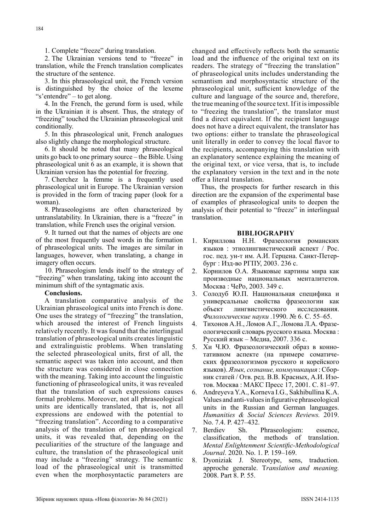1. Complete "freeze" during translation.

2. The Ukrainian versions tend to "freeze" in translation, while the French translation complicates the structure of the sentence.

3. In this phraseological unit, the French version is distinguished by the choice of the lexeme "s'entendre" – to get along.

4. In the French, the gerund form is used, while in the Ukrainian it is absent. Thus, the strategy of "freezing" touched the Ukrainian phraseological unit conditionally.

5. In this phraseological unit, French analogues also slightly change the morphological structure.

6. It should be noted that many phraseological units go back to one primary source – the Bible. Using phraseological unit 6 as an example, it is shown that Ukrainian version has the potential for freezing.

7. Cherchez la femme is a frequently used phraseological unit in Europe. The Ukrainian version is provided in the form of tracing paper (look for a woman).

8. Phraseologisms are often characterized by untranslatability. In Ukrainian, there is a "freeze" in translation, while French uses the original version.

9. It turned out that the names of objects are one of the most frequently used words in the formation of phraseological units. The images are similar in languages, however, when translating, a change in imagery often occurs.

10. Phraseologism lends itself to the strategy of "freezing" when translating, taking into account the minimum shift of the syntagmatic axis.

#### **Conclusions.**

A translation comparative analysis of the Ukrainian phraseological units into French is done. One uses the strategy of "freezing" the translation, which aroused the interest of French linguists relatively recently. It was found that the interlingual translation of phraseological units creates linguistic and extralinguistic problems. When translating the selected phraseological units, first of all, the semantic aspect was taken into account, and then the structure was considered in close connection with the meaning. Taking into account the linguistic functioning of phraseological units, it was revealed that the translation of such expressions causes formal problems. Moreover, not all phraseological units are identically translated, that is, not all expressions are endowed with the potential to "freezing translation". According to a comparative analysis of the translation of ten phraseological units, it was revealed that, depending on the peculiarities of the structure of the language and culture, the translation of the phraseological unit may include a "freezing" strategy. The semantic load of the phraseological unit is transmitted even when the morphosyntactic parameters are

changed and effectively reflects both the semantic load and the influence of the original text on its readers. The strategy of "freezing the translation" of phraseological units includes understanding the semantism and morphosyntactic structure of the phraseological unit, sufficient knowledge of the culture and language of the source and, therefore, the true meaning of the source text. If it is impossible to "freezing the translation", the translator must find a direct equivalent. If the recipient language does not have a direct equivalent, the translator has two options: either to translate the phraseological unit literally in order to convey the local flavor to the recipients, accompanying this translation with an explanatory sentence explaining the meaning of the original text, or vice versa, that is, to include the explanatory version in the text and in the note offer a literal translation.

Thus, the prospects for further research in this direction are the expansion of the experimental base of examples of phraseological units to deepen the analysis of their potential to "freeze" in interlingual translation.

#### **BIBLIOGRAPHY**

- 1. Кириллова Н.Н. Фразеология романских языков : этнолингвистический аспект / Рос. гос. пед. ун-т им. А.И. Герцена. Санкт-Петербург : Изд-во РГПУ, 2003. 236 с.
- 2. Корнилов О.А. Языковые картины мира как производные национальных менталитетов. Москва : ЧеРо, 2003. 349 с.
- 3. Солодуб Ю.П. Национальная специфика и универсальные свойства фразеологии как объект лингвистического исследования. *Филологические науки .*1990. № 6. С. 55–65.
- 4. Тихонов А.Н., Ломов А.Г., Ломова Л.А. Фразеологический словарь русского языка. Москва : Русский язык – Медиа, 2007. 336 с.
- 5. Хи Ч.Ю. Фразеологический образ в коннотативном аспекте (на примере соматических фразеологизмов русского и корейского языков). *Язык, сознание, коммуникация* : Сборник статей / Отв. ред. В.В. Красных, А.И. Изотов. Москва : МАКС Пресс 17, 2001. С. 81–97.
- 6. Andreyeva Y.A., Korneva I.G., Sakhibullina K.A. Values and anti-values in figurative phraseological units in the Russian and German languages. *Humanities & Social Sciences Reviews.* 2019. No. 7.4. P. 427–432.
- 7. Berdiev Sh. Phraseologism: essence, classification, the methods of translation. *Mental Enlightenment Scientific-Methodological Journal*. 2020. No. 1. P. 159–169.
- 8. Dyoniziak J. Stereotype, sens, traduction. approche generale. T*ranslation and meaning.*  2008. Part 8. P. 55.